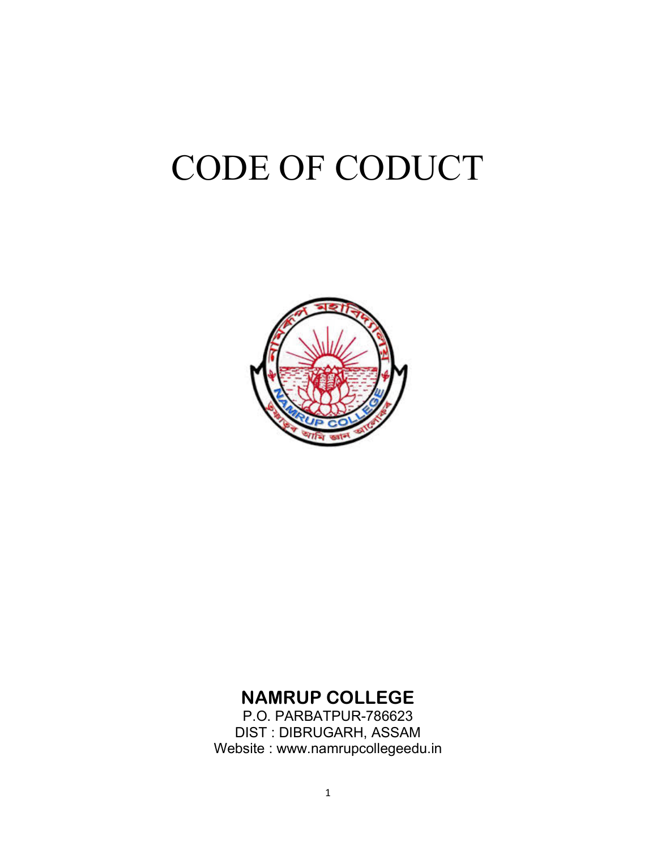# CODE OF CODUCT



### NAMRUP COLLEGE

P.O. PARBATPUR-786623 DIST : DIBRUGARH, ASSAM Website : www.namrupcollegeedu.in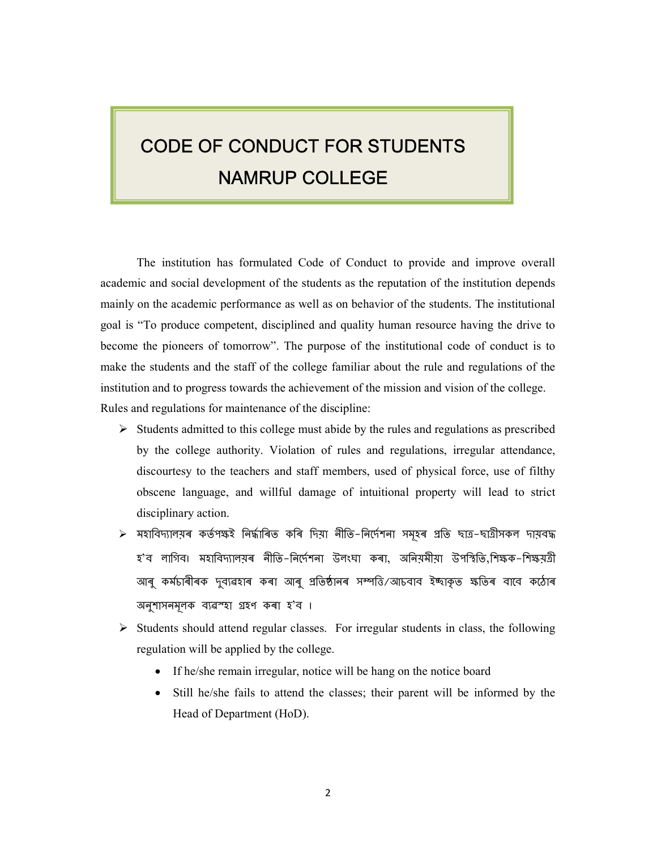# CODE OF CONDUCT FOR STUDENTS NAMRUP COLLEGE

The institution has formulated Code of Conduct to provide and improve overall academic and social development of the students as the reputation of the institution depends mainly on the academic performance as well as on behavior of the students. The institutional goal is "To produce competent, disciplined and quality human resource having the drive to become the pioneers of tomorrow". The purpose of the institutional code of conduct is to make the students and the staff of the college familiar about the rule and regulations of the institution and to progress towards the achievement of the mission and vision of the college. Rules and regulations for maintenance of the discipline:

- $\triangleright$  Students admitted to this college must abide by the rules and regulations as prescribed by the college authority. Violation of rules and regulations, irregular attendance, discourtesy to the teachers and staff members, used of physical force, use of filthy obscene language, and willful damage of intuitional property will lead to strict disciplinary action.
- $\triangleright$  মহাবিদ্যালয়ৰ কৰ্তপক্ষই নিৰ্দ্ধাৰিত কৰি দিয়া নীতি−নিৰ্দেশনা সমূহৰ প্ৰতি ছাত্ৰ−ছাত্ৰীসকল দায়বদ্ধ হ'ব লাগিব। মহাবিদ্যালয়ৰ নীতি-নিৰ্দেশনা উলংঘা কৰা, অনিয়মীয়া উপস্থিতি,শিক্ষক-শিক্ষয়ত্ৰী আৰু কৰ্মচাৰীৰক দুব্যৱহাৰ কৰা আৰু প্ৰতিষ্ঠানৰ সম্পত্তি/আচবাব ইচ্ছাকৃত ক্ষতিৰ বাবে কঠোৰ অনুশাসনমূলক ব্যৱস্হা গ্ৰহণ কৰা হ'ব ।
- $\triangleright$  Students should attend regular classes. For irregular students in class, the following regulation will be applied by the college.
	- If he/she remain irregular, notice will be hang on the notice board
	- Still he/she fails to attend the classes; their parent will be informed by the Head of Department (HoD).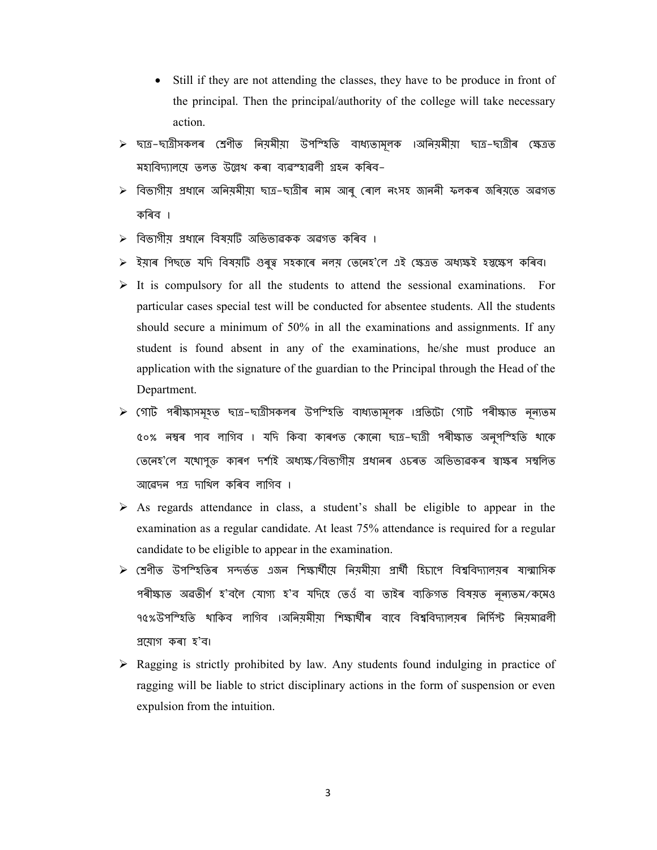- Still if they are not attending the classes, they have to be produce in front of the principal. Then the principal/authority of the college will take necessary action.
- $\triangleright$  ছাত্ৰ–ছাত্ৰীসকলৰ শ্ৰেণীত নিয়মীয়া উপশ্হিতি বাধ্যতামূলক ।অনিয়মীয়া ছাত্ৰ–ছাত্ৰীৰ ক্ষেত্ৰত মহাবিদ্যালয়ে তলত উল্লেখ কৰা ব্যৱস্হাৱলী গ্ৰহন কৰিব–
- $\triangleright$  বিভাগীয় প্ৰধাৰে অনিয়মীয়া ছাত্ৰ–ছাত্ৰীৰ নাম আৰু ৰোল নংসহ জাননী ফলকৰ জৰিয়তে অৱগত কিৰব ।
- িবভাগীয় Ƶধােন িবষয়Dž অিভভাৱকক অৱগত কিৰব ।
- > ইয়াৰ পিছতে যদি বিষয়টি গুৰুত্ব সহকাৰে নলয় তেনেহ'লে এই ক্ষেত্ৰত অধ্যক্ষই হ্স্তক্ষেপ কৰিব।
- $\triangleright$  It is compulsory for all the students to attend the sessional examinations. For particular cases special test will be conducted for absentee students. All the students should secure a minimum of 50% in all the examinations and assignments. If any student is found absent in any of the examinations, he/she must produce an application with the signature of the guardian to the Principal through the Head of the Department.
- $\triangleright$  গোট পৰীক্ষাসমূহত ছাত্ৰ–ছাত্ৰীসকলৰ উপশ্হিতি বাধ্যতামূলক ।প্ৰতিটো গোট পৰীক্ষাত নূন্যতম ৫০% নম্বৰ পাব লাগিব । যদি কিবা কাৰণত কোনো ছাত্ৰ–ছাত্ৰী পৰীক্ষাত অনুপশ্হিতি থাকে (তনেহ'লে যথোপুক্ত কাৰণ দৰ্শাই অধ্যক্ষ⁄বিভাগীয় প্ৰধানৰ ওচৰত অভিভাৱকৰ স্বাক্ষৰ সম্বলিত আৱেদন পত্ৰ দাখিল কৰিব লাগিব ।
- $\triangleright$  As regards attendance in class, a student's shall be eligible to appear in the examination as a regular candidate. At least 75% attendance is required for a regular candidate to be eligible to appear in the examination.
- $\triangleright$  শ্ৰেণীত উপশ্হিতিৰ সন্দৰ্ভত এজন শিক্ষাৰ্থীয়ে নিয়মীয়া প্ৰাৰ্থী হিচাপে বিশ্ববিদ্যালয়ৰ ষাল্মাসিক পৰীক্ষাত অৱতীৰ্ণ হ'বলৈ যোগ্য হ'ব যদিহে তেওঁ বা তাইৰ ব্যক্তিগত বিষয়ত নূন্যতম/কমেও ৭৫%উপশ্হিতি থাকিব লাগিব ।অনিয়মীয়া শিক্ষাৰ্থীৰ বাবে বিশ্ববিদ্যালয়ৰ নিৰ্দিস্ট নিয়মাৱলী Ƶেয়াগ কৰা হ'ব।
- $\triangleright$  Ragging is strictly prohibited by law. Any students found indulging in practice of ragging will be liable to strict disciplinary actions in the form of suspension or even expulsion from the intuition.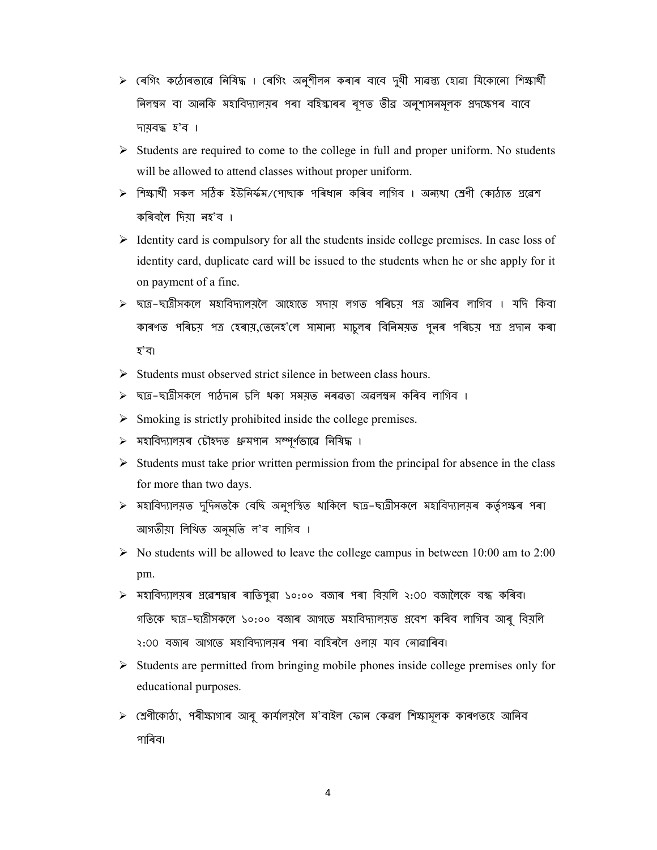- $>$  ৰেগিং কঠোৰভাৱে নিষিদ্ধ । ৰেগিং অনুশীলন কৰাৰ বাবে দুখী সাৱস্ত্য হোৱা যিকোনো শিক্ষাৰ্থী নিলম্বন বা আনকি মহাবিদ্যালয়ৰ পৰা বহিস্কাৰৰ ৰূপত তীব্ৰ অনুশাসনমূলক প্ৰদক্ষেপৰ বাবে দায়বȝ হ'ব ।
- $\triangleright$  Students are required to come to the college in full and proper uniform. No students will be allowed to attend classes without proper uniform.
- $\triangleright$  শিক্ষাৰ্থী সকল সঠিক ইউনিৰ্ফম/পোছাক পৰিধান কৰিব লাগিব । অন্যথা শ্ৰেণী কোঠাত প্ৰৱেশ কিৰবৈল িদয়া নহ'ব ।
- $\triangleright$  Identity card is compulsory for all the students inside college premises. In case loss of identity card, duplicate card will be issued to the students when he or she apply for it on payment of a fine.
- $\triangleright$  ছাত্ৰ–ছাত্ৰীসকলে মহাবিদ্যালয়লৈ আহোতে সদায় লগত পৰিচয় পত্ৰ আনিব লাগিব । যদি কিবা কাৰণত পৰিচয় পত্ৰ হেৰায়, তেনেহ'লে সামান্য মাচুলৰ বিনিময়ত পুনৰ পৰিচয় পত্ৰ প্ৰদান কৰা হ'ব।
- $\triangleright$  Students must observed strict silence in between class hours.
- $\triangleright$  ছাত্ৰ–ছাত্ৰীসকলে পাঠদান চলি থকা সময়ত নৰৱতা অৱলম্বন কৰিব লাগিব ।
- $\triangleright$  Smoking is strictly prohibited inside the college premises.
- $\triangleright$  মহাবিদ্যালয়ৰ চৌহদত ধ্ৰুমপান সম্পূৰ্ণভাৱে নিষিদ্ধ ।
- $\triangleright$  Students must take prior written permission from the principal for absence in the class for more than two days.
- $\triangleright$  মহাবিদ্যালয়ত দুদিনতকৈ বেছি অনুপস্থিত থাকিলে ছাত্ৰ−ছাত্ৰীসকলে মহাবিদ্যালয়ৰ কৰ্তৃপক্ষৰ পৰা আগতীয়া িলিখত অনুমিত ল'ব লািগব ।
- $\triangleright$  No students will be allowed to leave the college campus in between 10:00 am to 2:00 pm.
- $\triangleright$  মহাবিদ্যালয়ৰ প্ৰৱেশদ্বাৰ ৰাতিপুৱা ১০:০০ বজাৰ পৰা বিয়লি ২:00 বজালৈকে বন্ধ কৰিব। গতিকে ছাত্ৰ–ছাত্ৰীসকলে ১০:০০ বজাৰ আগতে মহাবিদ্যালয়ত প্ৰবেশ কৰিব লাগিব আৰু বিয়লি ২:00 বজাৰ আগতে মহাবিদ্যালয়ৰ পৰা বাহিৰলৈ ওলায় যাব নোৱাৰিব।
- $\triangleright$  Students are permitted from bringing mobile phones inside college premises only for educational purposes.
- $\triangleright$  (শ্ৰণীকোঠা, পৰীক্ষাগাৰ আৰু কাৰ্যালয়লৈ ম'বাইল ফোন কেৱল শিক্ষামূলক কাৰণতহে আনিব পাৰিব।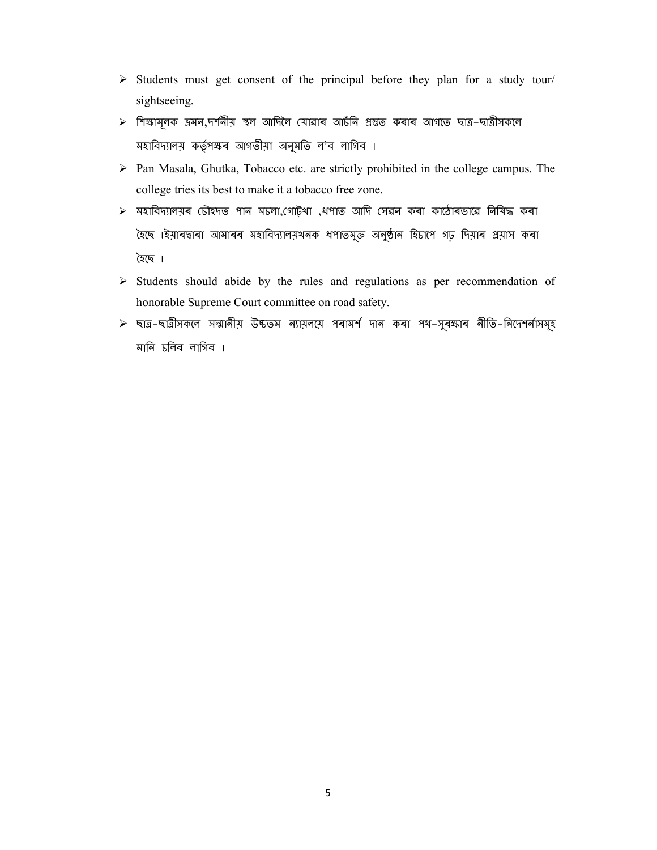- $\triangleright$  Students must get consent of the principal before they plan for a study tour/ sightseeing.
- $\triangleright$  শিক্ষামূলক ভ্ৰমন,দৰ্শনীয় স্থল আদিলৈ যোৱাৰ আচঁনি প্ৰস্তুত কৰাৰ আগতে ছাত্ৰ–ছাত্ৰীসকলে মহাবিদ্যালয় কৰ্তৃপক্ষৰ আগতীয়া অনুমতি ল'ব লাগিব ।
- $\triangleright$  Pan Masala, Ghutka, Tobacco etc. are strictly prohibited in the college campus. The college tries its best to make it a tobacco free zone.
- $\triangleright$  মহাবিদ্যালয়ৰ চৌহদত পান মচলা,গোট্থা ,ধপাত আদি সেৱন কৰা কাঠোৰভাৱে নিষিদ্ধ কৰা হৈছে ।ইয়াৰদ্বাৰা আমাৰৰ মহাবিদ্যালয়খনক ধপাতমুক্ত অনুষ্ঠান হিচাপে গঢ় দিয়াৰ প্ৰয়াস কৰা হৈছে ।
- $\triangleright$  Students should abide by the rules and regulations as per recommendation of honorable Supreme Court committee on road safety.
- $\triangleright$  ছাত্ৰ−ছাত্ৰীসকলে সন্মানীয় উঙ্কতম ন্যায়লয়ে পৰামৰ্শ দান কৰা পথ−সুৰক্ষাৰ নীতি−নিদেশৰ্নাসমূহ মানি চলিব লাগিব ।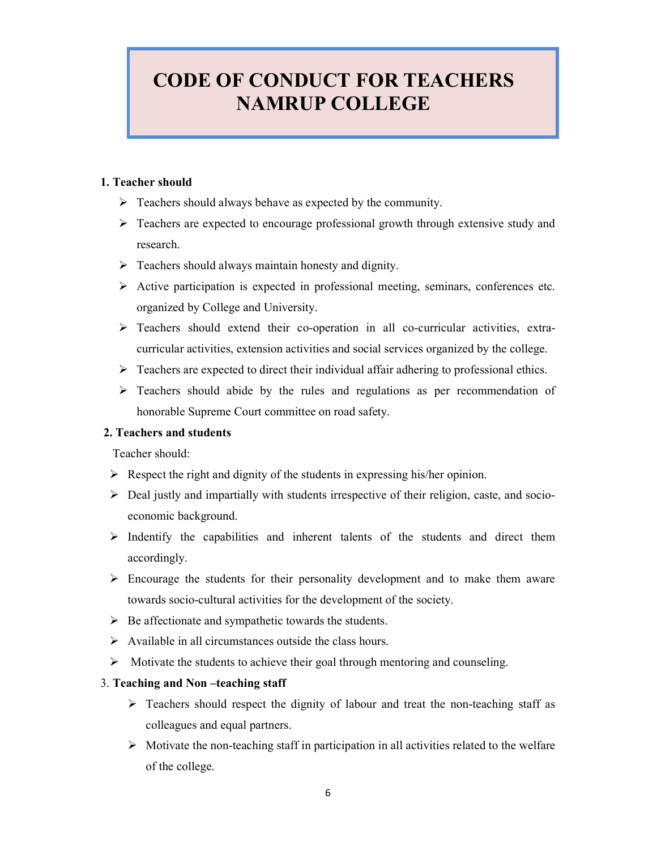## CODE OF CONDUCT FOR TEACHERS NAMRUP COLLEGE

#### 1. Teacher should

- $\triangleright$  Teachers should always behave as expected by the community.
- $\triangleright$  Teachers are expected to encourage professional growth through extensive study and research.
- $\triangleright$  Teachers should always maintain honesty and dignity.
- $\triangleright$  Active participation is expected in professional meeting, seminars, conferences etc. organized by College and University.
- $\triangleright$  Teachers should extend their co-operation in all co-curricular activities, extracurricular activities, extension activities and social services organized by the college.
- $\triangleright$  Teachers are expected to direct their individual affair adhering to professional ethics.
- $\triangleright$  Teachers should abide by the rules and regulations as per recommendation of honorable Supreme Court committee on road safety.

#### 2. Teachers and students

Teacher should:

- $\triangleright$  Respect the right and dignity of the students in expressing his/her opinion.
- Deal justly and impartially with students irrespective of their religion, caste, and socioeconomic background.
- $\triangleright$  Indentify the capabilities and inherent talents of the students and direct them accordingly.
- $\triangleright$  Encourage the students for their personality development and to make them aware towards socio-cultural activities for the development of the society.
- $\triangleright$  Be affectionate and sympathetic towards the students.
- $\triangleright$  Available in all circumstances outside the class hours.
- $\triangleright$  Motivate the students to achieve their goal through mentoring and counseling.

#### 3. Teaching and Non –teaching staff

- $\triangleright$  Teachers should respect the dignity of labour and treat the non-teaching staff as colleagues and equal partners.
- $\triangleright$  Motivate the non-teaching staff in participation in all activities related to the welfare of the college.